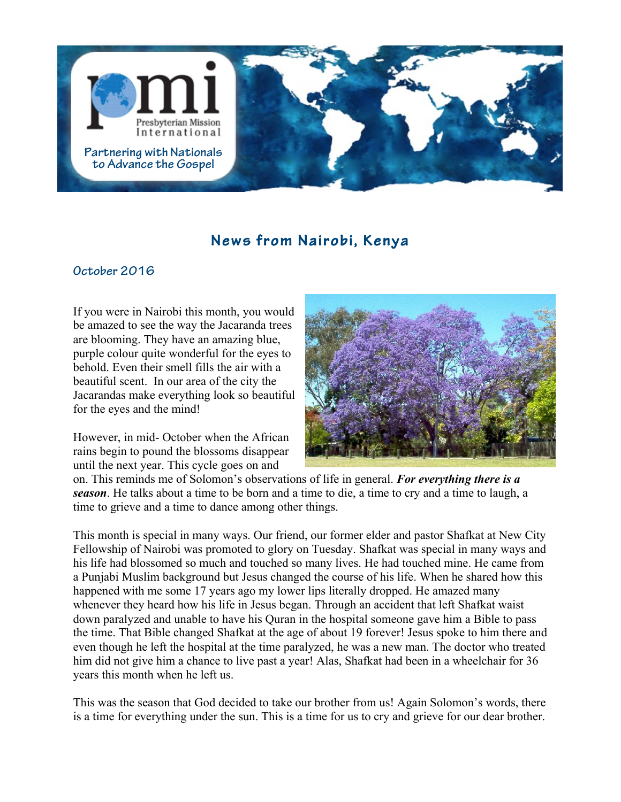

## **News from Nairobi, Kenya**

## **October <sup>2016</sup>**

If you were in Nairobi this month, you would be amazed to see the way the Jacaranda trees are blooming. They have an amazing blue, purple colour quite wonderful for the eyes to behold. Even their smell fills the air with a beautiful scent. In our area of the city the Jacarandas make everything look so beautiful for the eyes and the mind!

However, in mid- October when the African rains begin to pound the blossoms disappear until the next year. This cycle goes on and



on. This reminds me of Solomon's observations of life in general. *For everything there is a season*. He talks about a time to be born and a time to die, a time to cry and a time to laugh, a time to grieve and a time to dance among other things.

This month is special in many ways. Our friend, our former elder and pastor Shafkat at New City Fellowship of Nairobi was promoted to glory on Tuesday. Shafkat was special in many ways and his life had blossomed so much and touched so many lives. He had touched mine. He came from a Punjabi Muslim background but Jesus changed the course of his life. When he shared how this happened with me some 17 years ago my lower lips literally dropped. He amazed many whenever they heard how his life in Jesus began. Through an accident that left Shafkat waist down paralyzed and unable to have his Quran in the hospital someone gave him a Bible to pass the time. That Bible changed Shafkat at the age of about 19 forever! Jesus spoke to him there and even though he left the hospital at the time paralyzed, he was a new man. The doctor who treated him did not give him a chance to live past a year! Alas, Shafkat had been in a wheelchair for 36 years this month when he left us.

This was the season that God decided to take our brother from us! Again Solomon's words, there is a time for everything under the sun. This is a time for us to cry and grieve for our dear brother.